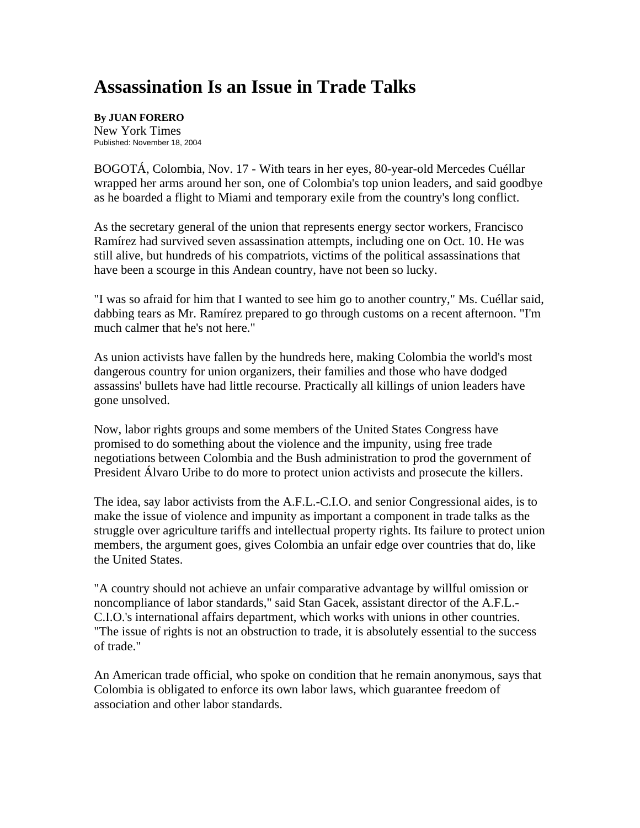## **Assassination Is an Issue in Trade Talks**

## **By JUAN FORERO**

New York Times Published: November 18, 2004

BOGOTÁ, Colombia, Nov. 17 - With tears in her eyes, 80-year-old Mercedes Cuéllar wrapped her arms around her son, one of Colombia's top union leaders, and said goodbye as he boarded a flight to Miami and temporary exile from the country's long conflict.

As the secretary general of the union that represents energy sector workers, Francisco Ramírez had survived seven assassination attempts, including one on Oct. 10. He was still alive, but hundreds of his compatriots, victims of the political assassinations that have been a scourge in this Andean country, have not been so lucky.

"I was so afraid for him that I wanted to see him go to another country," Ms. Cuéllar said, dabbing tears as Mr. Ramírez prepared to go through customs on a recent afternoon. "I'm much calmer that he's not here."

As union activists have fallen by the hundreds here, making Colombia the world's most dangerous country for union organizers, their families and those who have dodged assassins' bullets have had little recourse. Practically all killings of union leaders have gone unsolved.

Now, labor rights groups and some members of the United States Congress have promised to do something about the violence and the impunity, using free trade negotiations between Colombia and the Bush administration to prod the government of President Álvaro Uribe to do more to protect union activists and prosecute the killers.

The idea, say labor activists from the A.F.L.-C.I.O. and senior Congressional aides, is to make the issue of violence and impunity as important a component in trade talks as the struggle over agriculture tariffs and intellectual property rights. Its failure to protect union members, the argument goes, gives Colombia an unfair edge over countries that do, like the United States.

"A country should not achieve an unfair comparative advantage by willful omission or noncompliance of labor standards," said Stan Gacek, assistant director of the A.F.L.- C.I.O.'s international affairs department, which works with unions in other countries. "The issue of rights is not an obstruction to trade, it is absolutely essential to the success of trade."

An American trade official, who spoke on condition that he remain anonymous, says that Colombia is obligated to enforce its own labor laws, which guarantee freedom of association and other labor standards.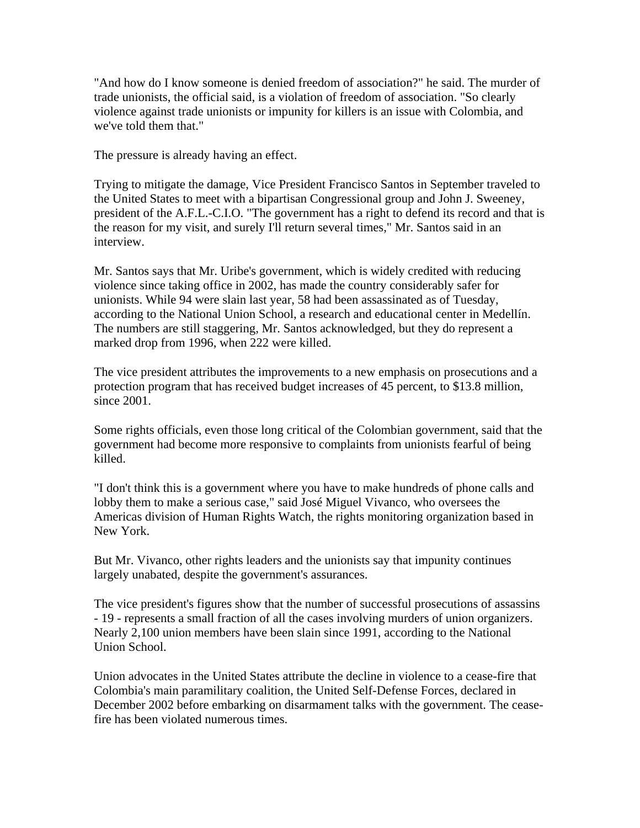"And how do I know someone is denied freedom of association?" he said. The murder of trade unionists, the official said, is a violation of freedom of association. "So clearly violence against trade unionists or impunity for killers is an issue with Colombia, and we've told them that."

The pressure is already having an effect.

Trying to mitigate the damage, Vice President Francisco Santos in September traveled to the United States to meet with a bipartisan Congressional group and John J. Sweeney, president of the A.F.L.-C.I.O. "The government has a right to defend its record and that is the reason for my visit, and surely I'll return several times," Mr. Santos said in an interview.

Mr. Santos says that Mr. Uribe's government, which is widely credited with reducing violence since taking office in 2002, has made the country considerably safer for unionists. While 94 were slain last year, 58 had been assassinated as of Tuesday, according to the National Union School, a research and educational center in Medellín. The numbers are still staggering, Mr. Santos acknowledged, but they do represent a marked drop from 1996, when 222 were killed.

The vice president attributes the improvements to a new emphasis on prosecutions and a protection program that has received budget increases of 45 percent, to \$13.8 million, since 2001.

Some rights officials, even those long critical of the Colombian government, said that the government had become more responsive to complaints from unionists fearful of being killed.

"I don't think this is a government where you have to make hundreds of phone calls and lobby them to make a serious case," said José Miguel Vivanco, who oversees the Americas division of Human Rights Watch, the rights monitoring organization based in New York.

But Mr. Vivanco, other rights leaders and the unionists say that impunity continues largely unabated, despite the government's assurances.

The vice president's figures show that the number of successful prosecutions of assassins - 19 - represents a small fraction of all the cases involving murders of union organizers. Nearly 2,100 union members have been slain since 1991, according to the National Union School.

Union advocates in the United States attribute the decline in violence to a cease-fire that Colombia's main paramilitary coalition, the United Self-Defense Forces, declared in December 2002 before embarking on disarmament talks with the government. The ceasefire has been violated numerous times.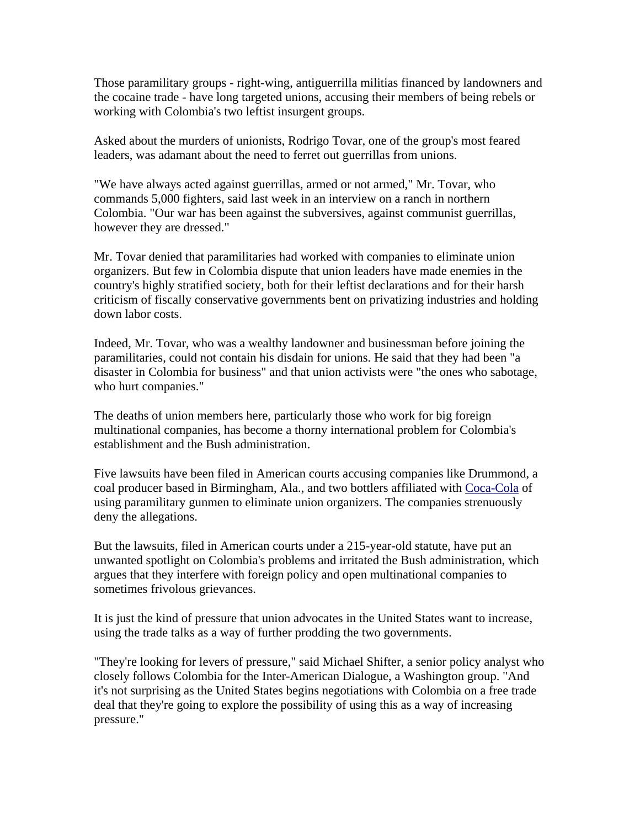Those paramilitary groups - right-wing, antiguerrilla militias financed by landowners and the cocaine trade - have long targeted unions, accusing their members of being rebels or working with Colombia's two leftist insurgent groups.

Asked about the murders of unionists, Rodrigo Tovar, one of the group's most feared leaders, was adamant about the need to ferret out guerrillas from unions.

"We have always acted against guerrillas, armed or not armed," Mr. Tovar, who commands 5,000 fighters, said last week in an interview on a ranch in northern Colombia. "Our war has been against the subversives, against communist guerrillas, however they are dressed."

Mr. Tovar denied that paramilitaries had worked with companies to eliminate union organizers. But few in Colombia dispute that union leaders have made enemies in the country's highly stratified society, both for their leftist declarations and for their harsh criticism of fiscally conservative governments bent on privatizing industries and holding down labor costs.

Indeed, Mr. Tovar, who was a wealthy landowner and businessman before joining the paramilitaries, could not contain his disdain for unions. He said that they had been "a disaster in Colombia for business" and that union activists were "the ones who sabotage, who hurt companies."

The deaths of union members here, particularly those who work for big foreign multinational companies, has become a thorny international problem for Colombia's establishment and the Bush administration.

Five lawsuits have been filed in American courts accusing companies like Drummond, a coal producer based in Birmingham, Ala., and two bottlers affiliated with Coca-Cola of using paramilitary gunmen to eliminate union organizers. The companies strenuously deny the allegations.

But the lawsuits, filed in American courts under a 215-year-old statute, have put an unwanted spotlight on Colombia's problems and irritated the Bush administration, which argues that they interfere with foreign policy and open multinational companies to sometimes frivolous grievances.

It is just the kind of pressure that union advocates in the United States want to increase, using the trade talks as a way of further prodding the two governments.

"They're looking for levers of pressure," said Michael Shifter, a senior policy analyst who closely follows Colombia for the Inter-American Dialogue, a Washington group. "And it's not surprising as the United States begins negotiations with Colombia on a free trade deal that they're going to explore the possibility of using this as a way of increasing pressure."